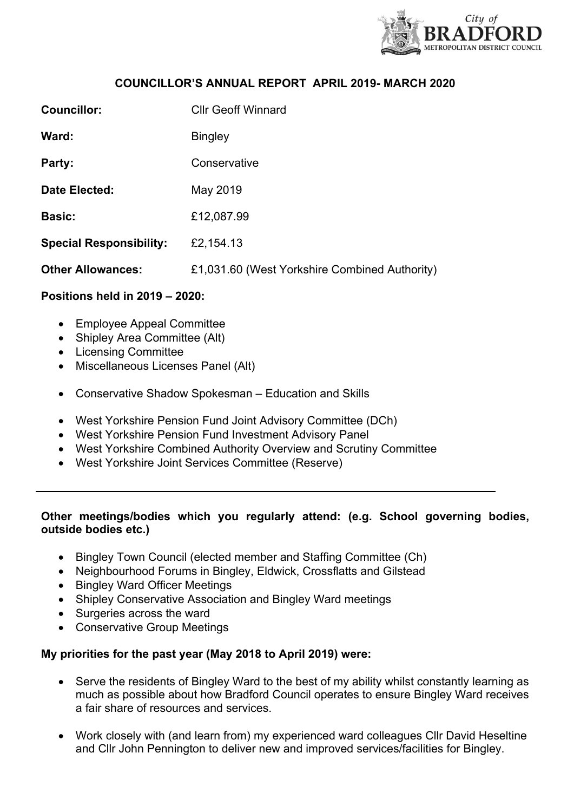

## **COUNCILLOR'S ANNUAL REPORT APRIL 2019- MARCH 2020**

| <b>Councillor:</b>             | <b>Cllr Geoff Winnard</b>                     |
|--------------------------------|-----------------------------------------------|
| Ward:                          | <b>Bingley</b>                                |
| Party:                         | Conservative                                  |
| Date Elected:                  | May 2019                                      |
| <b>Basic:</b>                  | £12,087.99                                    |
| <b>Special Responsibility:</b> | £2,154.13                                     |
| <b>Other Allowances:</b>       | £1,031.60 (West Yorkshire Combined Authority) |

# **Positions held in 2019 – 2020:**

- Employee Appeal Committee
- Shipley Area Committee (Alt)
- Licensing Committee
- Miscellaneous Licenses Panel (Alt)
- Conservative Shadow Spokesman Education and Skills
- West Yorkshire Pension Fund Joint Advisory Committee (DCh)
- West Yorkshire Pension Fund Investment Advisory Panel
- West Yorkshire Combined Authority Overview and Scrutiny Committee
- West Yorkshire Joint Services Committee (Reserve)

# **Other meetings/bodies which you regularly attend: (e.g. School governing bodies, outside bodies etc.)**

- Bingley Town Council (elected member and Staffing Committee (Ch)
- Neighbourhood Forums in Bingley, Eldwick, Crossflatts and Gilstead
- Bingley Ward Officer Meetings
- Shipley Conservative Association and Bingley Ward meetings
- Surgeries across the ward
- Conservative Group Meetings

#### **My priorities for the past year (May 2018 to April 2019) were:**

- Serve the residents of Bingley Ward to the best of my ability whilst constantly learning as much as possible about how Bradford Council operates to ensure Bingley Ward receives a fair share of resources and services.
- Work closely with (and learn from) my experienced ward colleagues Cllr David Heseltine and Cllr John Pennington to deliver new and improved services/facilities for Bingley.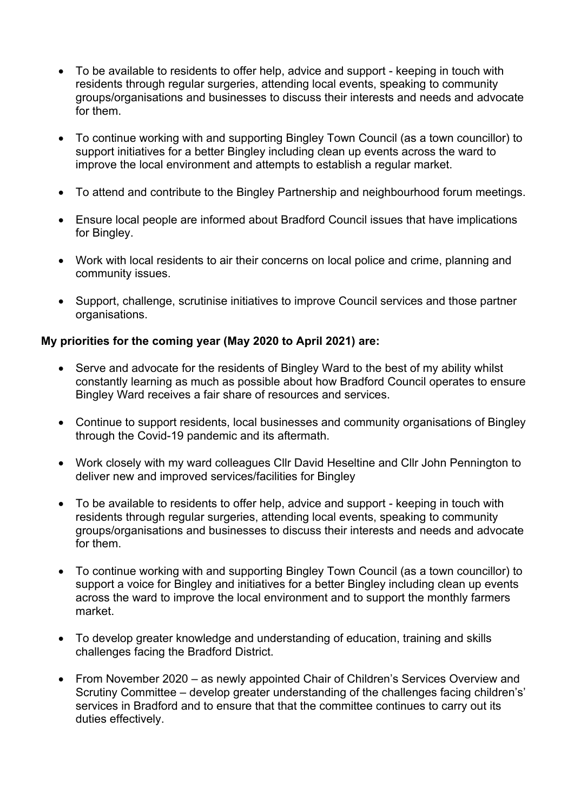- To be available to residents to offer help, advice and support keeping in touch with residents through regular surgeries, attending local events, speaking to community groups/organisations and businesses to discuss their interests and needs and advocate for them.
- To continue working with and supporting Bingley Town Council (as a town councillor) to support initiatives for a better Bingley including clean up events across the ward to improve the local environment and attempts to establish a regular market.
- To attend and contribute to the Bingley Partnership and neighbourhood forum meetings.
- Ensure local people are informed about Bradford Council issues that have implications for Bingley.
- Work with local residents to air their concerns on local police and crime, planning and community issues.
- Support, challenge, scrutinise initiatives to improve Council services and those partner organisations.

# **My priorities for the coming year (May 2020 to April 2021) are:**

- Serve and advocate for the residents of Bingley Ward to the best of my ability whilst constantly learning as much as possible about how Bradford Council operates to ensure Bingley Ward receives a fair share of resources and services.
- Continue to support residents, local businesses and community organisations of Bingley through the Covid-19 pandemic and its aftermath.
- Work closely with my ward colleagues Cllr David Heseltine and Cllr John Pennington to deliver new and improved services/facilities for Bingley
- To be available to residents to offer help, advice and support keeping in touch with residents through regular surgeries, attending local events, speaking to community groups/organisations and businesses to discuss their interests and needs and advocate for them.
- To continue working with and supporting Bingley Town Council (as a town councillor) to support a voice for Bingley and initiatives for a better Bingley including clean up events across the ward to improve the local environment and to support the monthly farmers market.
- To develop greater knowledge and understanding of education, training and skills challenges facing the Bradford District.
- From November 2020 as newly appointed Chair of Children's Services Overview and Scrutiny Committee – develop greater understanding of the challenges facing children's' services in Bradford and to ensure that that the committee continues to carry out its duties effectively.